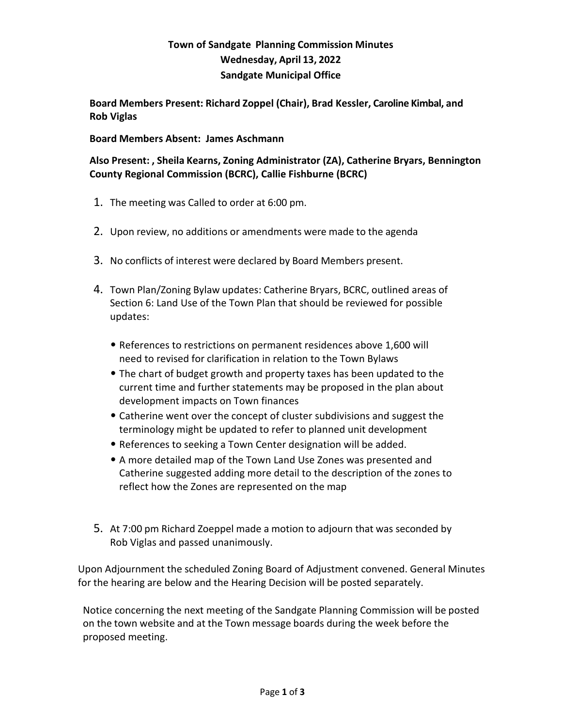## **Town of Sandgate Planning Commission Minutes Wednesday, April 13, 2022 Sandgate Municipal Office**

**Board Members Present: Richard Zoppel (Chair), Brad Kessler, Caroline Kimbal, and Rob Viglas**

**Board Members Absent: James Aschmann**

**Also Present: , Sheila Kearns, Zoning Administrator (ZA), Catherine Bryars, Bennington County Regional Commission (BCRC), Callie Fishburne (BCRC)**

- 1. The meeting was Called to order at 6:00 pm.
- 2. Upon review, no additions or amendments were made to the agenda
- 3. No conflicts of interest were declared by Board Members present.
- 4. Town Plan/Zoning Bylaw updates: Catherine Bryars, BCRC, outlined areas of Section 6: Land Use of the Town Plan that should be reviewed for possible updates:
	- References to restrictions on permanent residences above 1,600 will need to revised for clarification in relation to the Town Bylaws
	- The chart of budget growth and property taxes has been updated to the current time and further statements may be proposed in the plan about development impacts on Town finances
	- Catherine went over the concept of cluster subdivisions and suggest the terminology might be updated to refer to planned unit development
	- References to seeking a Town Center designation will be added.
	- A more detailed map of the Town Land Use Zones was presented and Catherine suggested adding more detail to the description of the zones to reflect how the Zones are represented on the map
- 5. At 7:00 pm Richard Zoeppel made a motion to adjourn that was seconded by Rob Viglas and passed unanimously.

Upon Adjournment the scheduled Zoning Board of Adjustment convened. General Minutes for the hearing are below and the Hearing Decision will be posted separately.

Notice concerning the next meeting of the Sandgate Planning Commission will be posted on the town website and at the Town message boards during the week before the proposed meeting.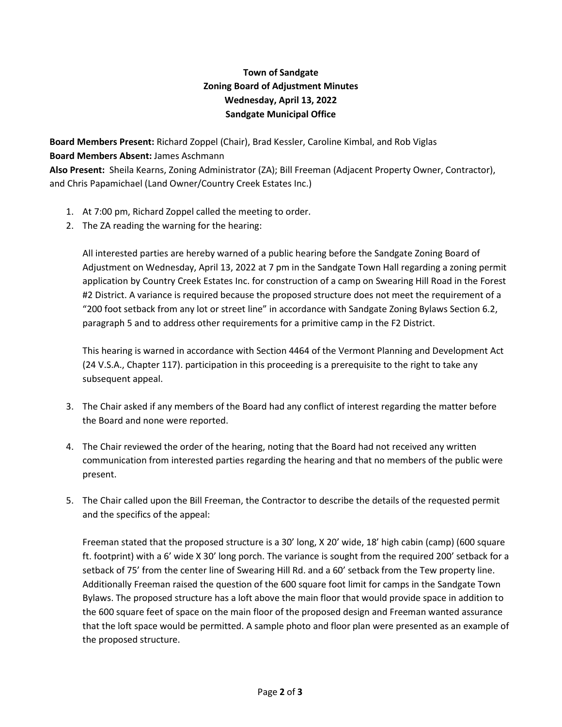## **Town of Sandgate Zoning Board of Adjustment Minutes Wednesday, April 13, 2022 Sandgate Municipal Office**

**Board Members Present:** Richard Zoppel (Chair), Brad Kessler, Caroline Kimbal, and Rob Viglas **Board Members Absent:** James Aschmann **Also Present:** Sheila Kearns, Zoning Administrator (ZA); Bill Freeman (Adjacent Property Owner, Contractor),

and Chris Papamichael (Land Owner/Country Creek Estates Inc.)

- 1. At 7:00 pm, Richard Zoppel called the meeting to order.
- 2. The ZA reading the warning for the hearing:

All interested parties are hereby warned of a public hearing before the Sandgate Zoning Board of Adjustment on Wednesday, April 13, 2022 at 7 pm in the Sandgate Town Hall regarding a zoning permit application by Country Creek Estates Inc. for construction of a camp on Swearing Hill Road in the Forest #2 District. A variance is required because the proposed structure does not meet the requirement of a "200 foot setback from any lot or street line" in accordance with Sandgate Zoning Bylaws Section 6.2, paragraph 5 and to address other requirements for a primitive camp in the F2 District.

This hearing is warned in accordance with Section 4464 of the Vermont Planning and Development Act (24 V.S.A., Chapter 117). participation in this proceeding is a prerequisite to the right to take any subsequent appeal.

- 3. The Chair asked if any members of the Board had any conflict of interest regarding the matter before the Board and none were reported.
- 4. The Chair reviewed the order of the hearing, noting that the Board had not received any written communication from interested parties regarding the hearing and that no members of the public were present.
- 5. The Chair called upon the Bill Freeman, the Contractor to describe the details of the requested permit and the specifics of the appeal:

Freeman stated that the proposed structure is a 30' long, X 20' wide, 18' high cabin (camp) (600 square ft. footprint) with a 6' wide X 30' long porch. The variance is sought from the required 200' setback for a setback of 75' from the center line of Swearing Hill Rd. and a 60' setback from the Tew property line. Additionally Freeman raised the question of the 600 square foot limit for camps in the Sandgate Town Bylaws. The proposed structure has a loft above the main floor that would provide space in addition to the 600 square feet of space on the main floor of the proposed design and Freeman wanted assurance that the loft space would be permitted. A sample photo and floor plan were presented as an example of the proposed structure.